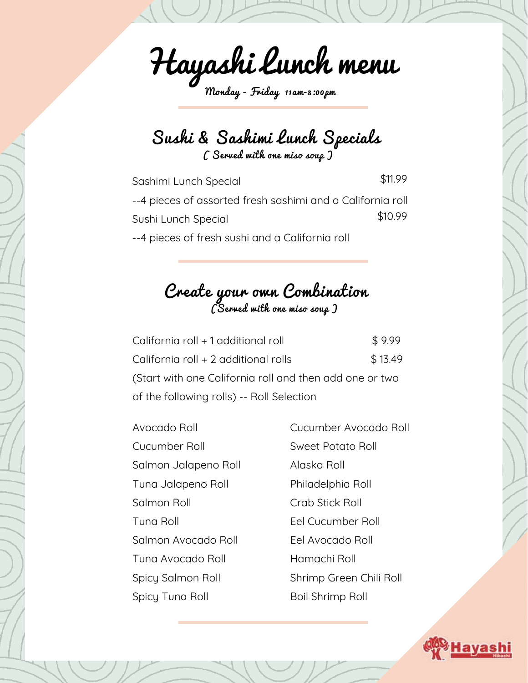Hayashi Lunch menu

Monday - Friday 11am-3:00pm

Sushi & Sashimi Lunch Specials ( Served with one miso soup )

Sashimi Lunch Special --4 pieces of assorted fresh sashimi and a California roll Sushi Lunch Special --4 pieces of fresh sushi and a California roll \$11.99 \$10.99

Create your own Combination (Served with one miso soup )

| California roll + 1 additional roll                     | \$9.99  |  |  |
|---------------------------------------------------------|---------|--|--|
| California roll + 2 additional rolls                    | \$13.49 |  |  |
| (Start with one California roll and then add one or two |         |  |  |
| of the following rolls) -- Roll Selection               |         |  |  |

| Avocado Roll         | Cucumber Avocado Roll   |
|----------------------|-------------------------|
| Cucumber Roll        | Sweet Potato Roll       |
| Salmon Jalapeno Roll | Alaska Roll             |
| Tuna Jalapeno Roll   | Philadelphia Roll       |
| Salmon Roll          | Crab Stick Roll         |
| Tuna Roll            | Eel Cucumber Roll       |
| Salmon Avocado Roll  | Eel Avocado Roll        |
| Tuna Avocado Roll    | Hamachi Roll            |
| Spicy Salmon Roll    | Shrimp Green Chili Roll |
| Spicy Tuna Roll      | Boil Shrimp Roll        |